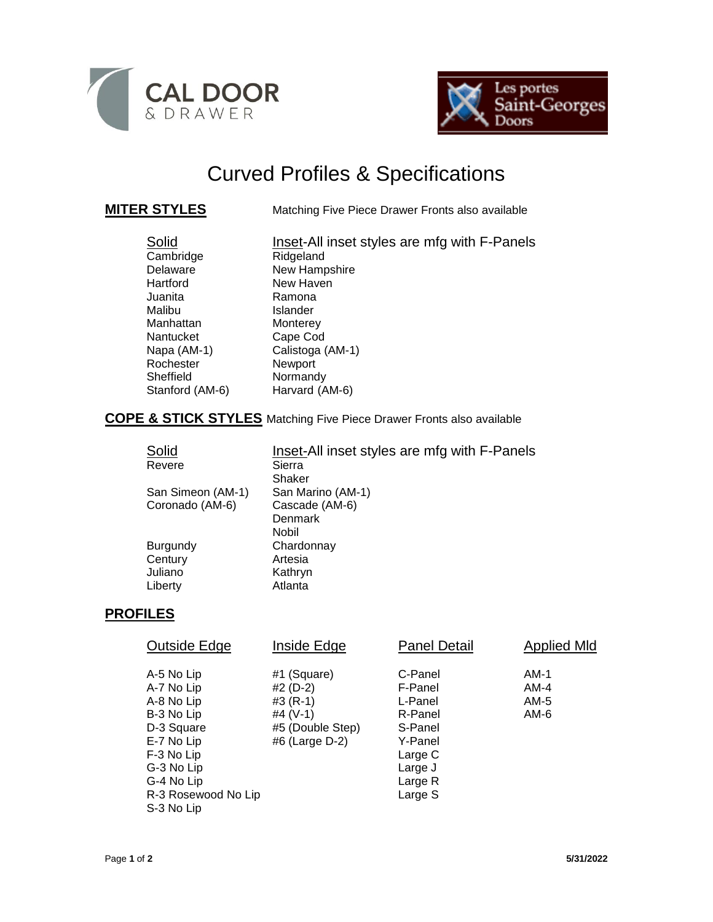



# Curved Profiles & Specifications

**MITER STYLES** Matching Five Piece Drawer Fronts also available

| Solid           | Inset-All inset styles are mfg with F-Panels |
|-----------------|----------------------------------------------|
| Cambridge       | Ridgeland                                    |
| Delaware        | New Hampshire                                |
| Hartford        | New Haven                                    |
| Juanita         | Ramona                                       |
| Malibu          | Islander                                     |
| Manhattan       | Monterey                                     |
| Nantucket       | Cape Cod                                     |
| Napa (AM-1)     | Calistoga (AM-1)                             |
| Rochester       | Newport                                      |
| Sheffield       | Normandy                                     |
| Stanford (AM-6) | Harvard (AM-6)                               |

# **COPE & STICK STYLES** Matching Five Piece Drawer Fronts also available

| Solid             | Inset-All inset styles are mfg with F-Panels |  |  |
|-------------------|----------------------------------------------|--|--|
| Revere            | Sierra                                       |  |  |
|                   | Shaker                                       |  |  |
| San Simeon (AM-1) | San Marino (AM-1)                            |  |  |
| Coronado (AM-6)   | Cascade (AM-6)                               |  |  |
|                   | Denmark                                      |  |  |
|                   | Nobil                                        |  |  |
| Burgundy          | Chardonnay                                   |  |  |
| Century           | Artesia                                      |  |  |
| Juliano           | Kathryn                                      |  |  |
| Liberty           | Atlanta                                      |  |  |

## **PROFILES**

| Outside Edge                                                                                                                                                    | Inside Edge                                                                               | <b>Panel Detail</b>                                                                                        | <b>Applied MId</b>             |
|-----------------------------------------------------------------------------------------------------------------------------------------------------------------|-------------------------------------------------------------------------------------------|------------------------------------------------------------------------------------------------------------|--------------------------------|
| A-5 No Lip<br>A-7 No Lip<br>A-8 No Lip<br>B-3 No Lip<br>D-3 Square<br>E-7 No Lip<br>F-3 No Lip<br>G-3 No Lip<br>G-4 No Lip<br>R-3 Rosewood No Lip<br>S-3 No Lip | #1 (Square)<br>#2 (D-2)<br>$#3 (R-1)$<br>#4 $(V-1)$<br>#5 (Double Step)<br>#6 (Large D-2) | C-Panel<br>F-Panel<br>L-Panel<br>R-Panel<br>S-Panel<br>Y-Panel<br>Large C<br>Large J<br>Large R<br>Large S | AM-1<br>$AM-4$<br>AM-5<br>AM-6 |